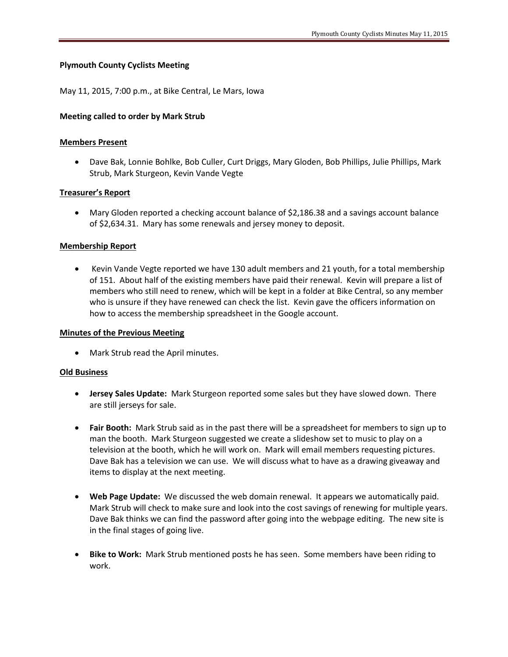# **Plymouth County Cyclists Meeting**

May 11, 2015, 7:00 p.m., at Bike Central, Le Mars, Iowa

### **Meeting called to order by Mark Strub**

### **Members Present**

 Dave Bak, Lonnie Bohlke, Bob Culler, Curt Driggs, Mary Gloden, Bob Phillips, Julie Phillips, Mark Strub, Mark Sturgeon, Kevin Vande Vegte

## **Treasurer's Report**

 Mary Gloden reported a checking account balance of \$2,186.38 and a savings account balance of \$2,634.31. Mary has some renewals and jersey money to deposit.

## **Membership Report**

 Kevin Vande Vegte reported we have 130 adult members and 21 youth, for a total membership of 151. About half of the existing members have paid their renewal. Kevin will prepare a list of members who still need to renew, which will be kept in a folder at Bike Central, so any member who is unsure if they have renewed can check the list. Kevin gave the officers information on how to access the membership spreadsheet in the Google account.

### **Minutes of the Previous Meeting**

Mark Strub read the April minutes.

#### **Old Business**

- **Jersey Sales Update:** Mark Sturgeon reported some sales but they have slowed down. There are still jerseys for sale.
- **Fair Booth:** Mark Strub said as in the past there will be a spreadsheet for members to sign up to man the booth. Mark Sturgeon suggested we create a slideshow set to music to play on a television at the booth, which he will work on. Mark will email members requesting pictures. Dave Bak has a television we can use. We will discuss what to have as a drawing giveaway and items to display at the next meeting.
- **Web Page Update:** We discussed the web domain renewal. It appears we automatically paid. Mark Strub will check to make sure and look into the cost savings of renewing for multiple years. Dave Bak thinks we can find the password after going into the webpage editing. The new site is in the final stages of going live.
- **Bike to Work:** Mark Strub mentioned posts he has seen. Some members have been riding to work.